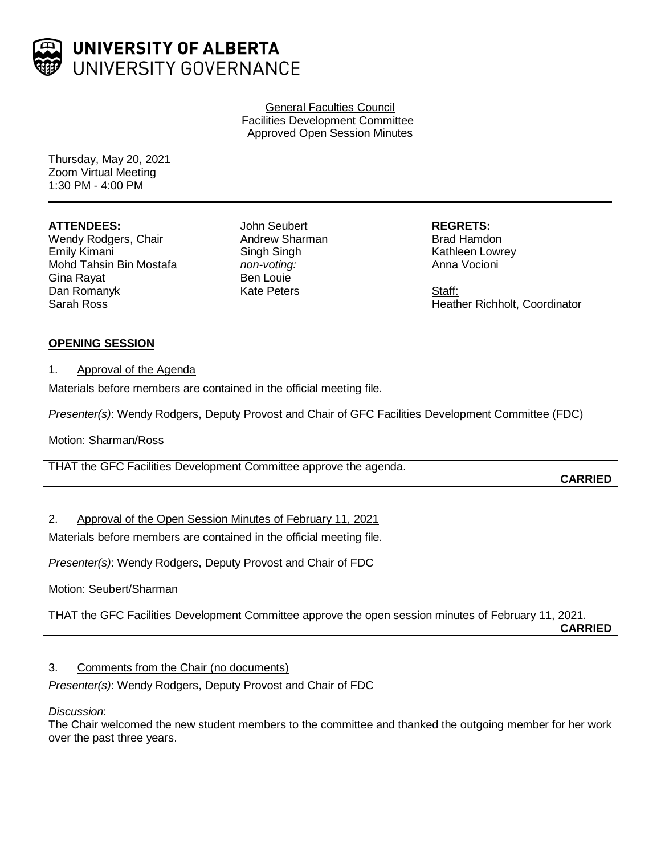

General Faculties Council Facilities Development Committee Approved Open Session Minutes

Thursday, May 20, 2021 Zoom Virtual Meeting 1:30 PM - 4:00 PM

### **ATTENDEES:**

Wendy Rodgers, Chair Emily Kimani Mohd Tahsin Bin Mostafa Gina Rayat Dan Romanyk Sarah Ross

John Seubert Andrew Sharman Singh Singh *non-voting:* Ben Louie Kate Peters

**REGRETS:** Brad Hamdon Kathleen Lowrey Anna Vocioni

Staff: Heather Richholt, Coordinator

### **OPENING SESSION**

#### 1. Approval of the Agenda

Materials before members are contained in the official meeting file.

*Presenter(s)*: Wendy Rodgers, Deputy Provost and Chair of GFC Facilities Development Committee (FDC)

Motion: Sharman/Ross

THAT the GFC Facilities Development Committee approve the agenda.

**CARRIED**

# 2. Approval of the Open Session Minutes of February 11, 2021

Materials before members are contained in the official meeting file.

*Presenter(s)*: Wendy Rodgers, Deputy Provost and Chair of FDC

Motion: Seubert/Sharman

THAT the GFC Facilities Development Committee approve the open session minutes of February 11, 2021. **CARRIED**

# 3. Comments from the Chair (no documents)

*Presenter(s)*: Wendy Rodgers, Deputy Provost and Chair of FDC

*Discussion*:

The Chair welcomed the new student members to the committee and thanked the outgoing member for her work over the past three years.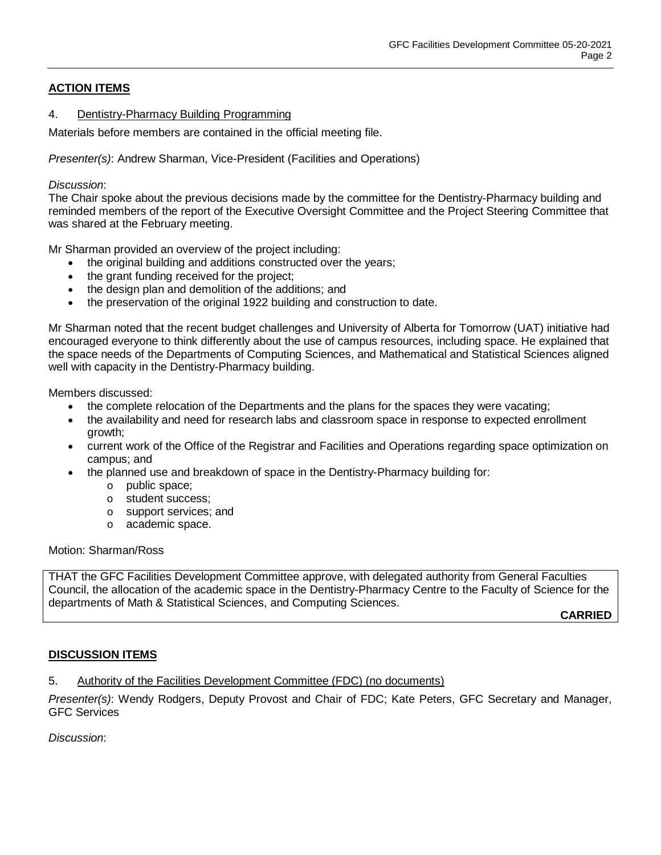# **ACTION ITEMS**

#### 4. Dentistry-Pharmacy Building Programming

Materials before members are contained in the official meeting file.

*Presenter(s)*: Andrew Sharman, Vice-President (Facilities and Operations)

#### *Discussion*:

The Chair spoke about the previous decisions made by the committee for the Dentistry-Pharmacy building and reminded members of the report of the Executive Oversight Committee and the Project Steering Committee that was shared at the February meeting.

Mr Sharman provided an overview of the project including:

- the original building and additions constructed over the years;
- the grant funding received for the project:
- the design plan and demolition of the additions; and
- the preservation of the original 1922 building and construction to date.

Mr Sharman noted that the recent budget challenges and University of Alberta for Tomorrow (UAT) initiative had encouraged everyone to think differently about the use of campus resources, including space. He explained that the space needs of the Departments of Computing Sciences, and Mathematical and Statistical Sciences aligned well with capacity in the Dentistry-Pharmacy building.

Members discussed:

- the complete relocation of the Departments and the plans for the spaces they were vacating;
- the availability and need for research labs and classroom space in response to expected enrollment growth;
- current work of the Office of the Registrar and Facilities and Operations regarding space optimization on campus; and
- the planned use and breakdown of space in the Dentistry-Pharmacy building for:
	- o public space;
	- o student success;
	- o support services; and
	- o academic space.

#### Motion: Sharman/Ross

THAT the GFC Facilities Development Committee approve, with delegated authority from General Faculties Council, the allocation of the academic space in the Dentistry-Pharmacy Centre to the Faculty of Science for the departments of Math & Statistical Sciences, and Computing Sciences.

**CARRIED**

# **DISCUSSION ITEMS**

5. Authority of the Facilities Development Committee (FDC) (no documents)

*Presenter(s)*: Wendy Rodgers, Deputy Provost and Chair of FDC; Kate Peters, GFC Secretary and Manager, GFC Services

*Discussion*: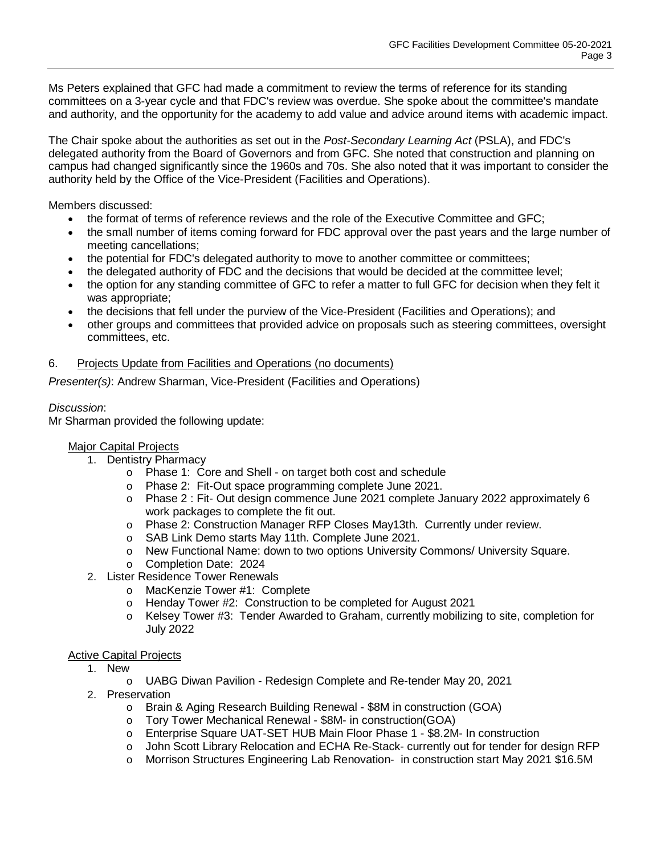Ms Peters explained that GFC had made a commitment to review the terms of reference for its standing committees on a 3-year cycle and that FDC's review was overdue. She spoke about the committee's mandate and authority, and the opportunity for the academy to add value and advice around items with academic impact.

The Chair spoke about the authorities as set out in the *Post-Secondary Learning Act* (PSLA), and FDC's delegated authority from the Board of Governors and from GFC. She noted that construction and planning on campus had changed significantly since the 1960s and 70s. She also noted that it was important to consider the authority held by the Office of the Vice-President (Facilities and Operations).

Members discussed:

- the format of terms of reference reviews and the role of the Executive Committee and GFC;
- the small number of items coming forward for FDC approval over the past years and the large number of meeting cancellations;
- the potential for FDC's delegated authority to move to another committee or committees;
- the delegated authority of FDC and the decisions that would be decided at the committee level;
- the option for any standing committee of GFC to refer a matter to full GFC for decision when they felt it was appropriate;
- the decisions that fell under the purview of the Vice-President (Facilities and Operations); and
- other groups and committees that provided advice on proposals such as steering committees, oversight committees, etc.

#### 6. Projects Update from Facilities and Operations (no documents)

*Presenter(s)*: Andrew Sharman, Vice-President (Facilities and Operations)

### *Discussion*:

Mr Sharman provided the following update:

#### Major Capital Projects

- 1. Dentistry Pharmacy
	- o Phase 1: Core and Shell on target both cost and schedule
	- o Phase 2: Fit-Out space programming complete June 2021.
	- o Phase 2 : Fit- Out design commence June 2021 complete January 2022 approximately 6 work packages to complete the fit out.
	- o Phase 2: Construction Manager RFP Closes May13th. Currently under review.
	- o SAB Link Demo starts May 11th. Complete June 2021.
	- o New Functional Name: down to two options University Commons/ University Square.
	- o Completion Date: 2024
- 2. Lister Residence Tower Renewals
	- o MacKenzie Tower #1: Complete
	- o Henday Tower #2: Construction to be completed for August 2021
	- o Kelsey Tower #3: Tender Awarded to Graham, currently mobilizing to site, completion for July 2022

# Active Capital Projects

- 1. New
	- o UABG Diwan Pavilion Redesign Complete and Re-tender May 20, 2021
- 2. Preservation
	- o Brain & Aging Research Building Renewal \$8M in construction (GOA)
	- o Tory Tower Mechanical Renewal \$8M- in construction(GOA)<br>
	o Enterprise Square UAT-SET HUB Main Floor Phase 1 \$8.2M
	- Enterprise Square UAT-SET HUB Main Floor Phase 1 \$8.2M- In construction
	- o John Scott Library Relocation and ECHA Re-Stack- currently out for tender for design RFP
	- o Morrison Structures Engineering Lab Renovation- in construction start May 2021 \$16.5M